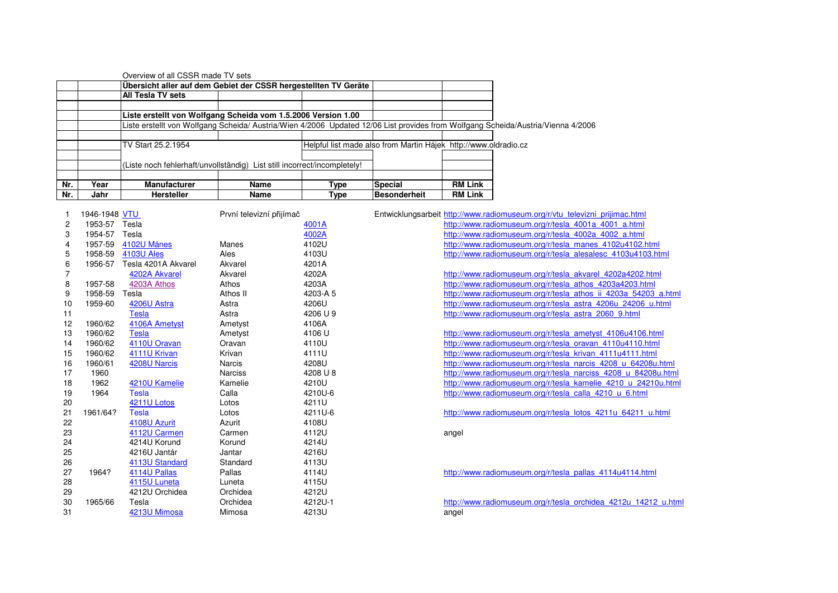|     |      | Overview of all CSSR made TV sets                                        |             |      |                                                                 |                |                                                                                                                                  |
|-----|------|--------------------------------------------------------------------------|-------------|------|-----------------------------------------------------------------|----------------|----------------------------------------------------------------------------------------------------------------------------------|
|     |      | Übersicht aller auf dem Gebiet der CSSR hergestellten TV Geräte          |             |      |                                                                 |                |                                                                                                                                  |
|     |      | All Tesla TV sets                                                        |             |      |                                                                 |                |                                                                                                                                  |
|     |      | Liste erstellt von Wolfgang Scheida vom 1.5.2006 Version 1.00            |             |      |                                                                 |                |                                                                                                                                  |
|     |      |                                                                          |             |      |                                                                 |                | Liste erstellt von Wolfgang Scheida/ Austria/Wien 4/2006 Updated 12/06 List provides from Wolfgang Scheida/Austria/Vienna 4/2006 |
|     |      | TV Start 25.2.1954                                                       |             |      | Helpful list made also from Martin Hájek http://www.oldradio.cz |                |                                                                                                                                  |
|     |      |                                                                          |             |      |                                                                 |                |                                                                                                                                  |
|     |      | (Liste noch fehlerhaft/unvollständig) List still incorrect/incompletely! |             |      |                                                                 |                |                                                                                                                                  |
| Nr. | Year | <b>Manufacturer</b>                                                      | <b>Name</b> | Type | <b>Special</b>                                                  | <b>RM Link</b> |                                                                                                                                  |
| Nr. | Jahr | <b>Hersteller</b>                                                        | Name        | Type | <b>Besonderheit</b>                                             | <b>RM Link</b> |                                                                                                                                  |

|    | 1946-1948 VTU |                     | První televizní přijímač |          | Entwicklungsarbeit http://www.radiomuseum.org/r/vtu televizni prijimac.html |
|----|---------------|---------------------|--------------------------|----------|-----------------------------------------------------------------------------|
| 2  | 1953-57       | Tesla               |                          | 4001A    | http://www.radiomuseum.org/r/tesla 4001a 4001 a.html                        |
| 3  | 1954-57       | Tesla               |                          | 4002A    | http://www.radiomuseum.org/r/tesla 4002a 4002 a.html                        |
| 4  | 1957-59       | 4102U Mánes         | Manes                    | 4102U    | http://www.radiomuseum.org/r/tesla manes 4102u4102.html                     |
| 5  | 1958-59       | 4103U Ales          | Ales                     | 4103U    | http://www.radiomuseum.org/r/tesla_alesalesc_4103u4103.html                 |
| 6  | 1956-57       | Tesla 4201A Akvarel | Akvarel                  | 4201A    |                                                                             |
|    |               | 4202A Akvarel       | Akvarel                  | 4202A    | http://www.radiomuseum.org/r/tesla_akvarel_4202a4202.html                   |
| 8  | 1957-58       | 4203A Athos         | Athos                    | 4203A    | http://www.radiomuseum.org/r/tesla_athos_4203a4203.html                     |
| 9  | 1958-59       | Tesla               | Athos II                 | 4203-A 5 | http://www.radiomuseum.org/r/tesla athos ii 4203a 54203 a.htm               |
| 10 | 1959-60       | 4206U Astra         | Astra                    | 4206U    | http://www.radiomuseum.org/r/tesla astra 4206u 24206 u.html                 |
| 11 |               | <b>Tesla</b>        | Astra                    | 4206 U 9 | http://www.radiomuseum.org/r/tesla astra 2060 9.html                        |
| 12 | 1960/62       | 4106A Ametyst       | Ametyst                  | 4106A    |                                                                             |
| 13 | 1960/62       | <b>Tesla</b>        | Ametyst                  | 4106 U   | http://www.radiomuseum.org/r/tesla_ametyst_4106u4106.html                   |
| 14 | 1960/62       | 4110U Oravan        | Oravan                   | 4110U    | http://www.radiomuseum.org/r/tesla oravan 4110u4110.html                    |
| 15 | 1960/62       | 4111U Krivan        | Krivan                   | 4111U    | http://www.radiomuseum.org/r/tesla krivan 4111u4111.html                    |
| 16 | 1960/61       | 4208U Narcis        | <b>Narcis</b>            | 4208U    | http://www.radiomuseum.org/r/tesla narcis 4208 u 64208u.html                |
| 17 | 1960          |                     | <b>Narciss</b>           | 4208 U 8 | http://www.radiomuseum.org/r/tesla narciss 4208 u 84208u.html               |
| 18 | 1962          | 4210U Kamelie       | Kamelie                  | 4210U    | http://www.radiomuseum.org/r/tesla kamelie 4210 u 24210u.htm                |
| 19 | 1964          | Tesla               | Calla                    | 4210U-6  | http://www.radiomuseum.org/r/tesla calla 4210 u 6.html                      |
| 20 |               | 4211U Lotos         | Lotos                    | 4211U    |                                                                             |
| 21 | 1961/64?      | <b>Tesla</b>        | Lotos                    | 4211U-6  | http://www.radiomuseum.org/r/tesla_lotos_4211u_64211_u.html                 |
| 22 |               | 4108U Azurit        | Azurit                   | 4108U    |                                                                             |
| 23 |               | 4112U Carmen        | Carmen                   | 4112U    | angel                                                                       |
| 24 |               | 4214U Korund        | Korund                   | 4214U    |                                                                             |
| 25 |               | 4216U Jantár        | Jantar                   | 4216U    |                                                                             |
| 26 |               | 4113U Standard      | Standard                 | 4113U    |                                                                             |
| 27 | 1964?         | 4114U Pallas        | Pallas                   | 4114U    | http://www.radiomuseum.org/r/tesla_pallas_4114u4114.html                    |
| 28 |               | 4115U Luneta        | Luneta                   | 4115U    |                                                                             |
| 29 |               | 4212U Orchidea      | Orchidea                 | 4212U    |                                                                             |
| 30 | 1965/66       | Tesla               | Orchidea                 | 4212U-1  | http://www.radiomuseum.org/r/tesla_orchidea_4212u_14212_u.htr               |
| 31 |               | 4213U Mimosa        | Mimosa                   | 4213U    | angel                                                                       |

| Tesla               |                                            | 4001A    |                          |       |                                                                                                                                                                                                                                                                                                                                                                                                                                                                                                                                                                                                                                                                                                                                                                                                                                                                                                                                                                                                                                                                                                                                                                                                                    |
|---------------------|--------------------------------------------|----------|--------------------------|-------|--------------------------------------------------------------------------------------------------------------------------------------------------------------------------------------------------------------------------------------------------------------------------------------------------------------------------------------------------------------------------------------------------------------------------------------------------------------------------------------------------------------------------------------------------------------------------------------------------------------------------------------------------------------------------------------------------------------------------------------------------------------------------------------------------------------------------------------------------------------------------------------------------------------------------------------------------------------------------------------------------------------------------------------------------------------------------------------------------------------------------------------------------------------------------------------------------------------------|
| Tesla               |                                            | 4002A    |                          |       |                                                                                                                                                                                                                                                                                                                                                                                                                                                                                                                                                                                                                                                                                                                                                                                                                                                                                                                                                                                                                                                                                                                                                                                                                    |
|                     | Manes                                      | 4102U    |                          |       |                                                                                                                                                                                                                                                                                                                                                                                                                                                                                                                                                                                                                                                                                                                                                                                                                                                                                                                                                                                                                                                                                                                                                                                                                    |
|                     | Ales                                       | 4103U    |                          |       |                                                                                                                                                                                                                                                                                                                                                                                                                                                                                                                                                                                                                                                                                                                                                                                                                                                                                                                                                                                                                                                                                                                                                                                                                    |
| Tesla 4201A Akvarel | Akvarel                                    | 4201A    |                          |       |                                                                                                                                                                                                                                                                                                                                                                                                                                                                                                                                                                                                                                                                                                                                                                                                                                                                                                                                                                                                                                                                                                                                                                                                                    |
| 4202A Akvarel       | Akvarel                                    | 4202A    |                          |       |                                                                                                                                                                                                                                                                                                                                                                                                                                                                                                                                                                                                                                                                                                                                                                                                                                                                                                                                                                                                                                                                                                                                                                                                                    |
| 4203A Athos         | Athos                                      | 4203A    |                          |       |                                                                                                                                                                                                                                                                                                                                                                                                                                                                                                                                                                                                                                                                                                                                                                                                                                                                                                                                                                                                                                                                                                                                                                                                                    |
| Tesla               | Athos II                                   | 4203-A 5 |                          |       |                                                                                                                                                                                                                                                                                                                                                                                                                                                                                                                                                                                                                                                                                                                                                                                                                                                                                                                                                                                                                                                                                                                                                                                                                    |
| 4206U Astra         | Astra                                      | 4206U    |                          |       |                                                                                                                                                                                                                                                                                                                                                                                                                                                                                                                                                                                                                                                                                                                                                                                                                                                                                                                                                                                                                                                                                                                                                                                                                    |
| Tesla               | Astra                                      | 4206 U 9 |                          |       |                                                                                                                                                                                                                                                                                                                                                                                                                                                                                                                                                                                                                                                                                                                                                                                                                                                                                                                                                                                                                                                                                                                                                                                                                    |
| 4106A Ametyst       | Ametyst                                    | 4106A    |                          |       |                                                                                                                                                                                                                                                                                                                                                                                                                                                                                                                                                                                                                                                                                                                                                                                                                                                                                                                                                                                                                                                                                                                                                                                                                    |
| Tesla               | Ametyst                                    | 4106 U   |                          |       |                                                                                                                                                                                                                                                                                                                                                                                                                                                                                                                                                                                                                                                                                                                                                                                                                                                                                                                                                                                                                                                                                                                                                                                                                    |
| 4110U Oravan        | Oravan                                     | 4110U    |                          |       |                                                                                                                                                                                                                                                                                                                                                                                                                                                                                                                                                                                                                                                                                                                                                                                                                                                                                                                                                                                                                                                                                                                                                                                                                    |
| 4111U Krivan        | Krivan                                     | 4111U    |                          |       |                                                                                                                                                                                                                                                                                                                                                                                                                                                                                                                                                                                                                                                                                                                                                                                                                                                                                                                                                                                                                                                                                                                                                                                                                    |
| 4208U Narcis        | <b>Narcis</b>                              | 4208U    |                          |       |                                                                                                                                                                                                                                                                                                                                                                                                                                                                                                                                                                                                                                                                                                                                                                                                                                                                                                                                                                                                                                                                                                                                                                                                                    |
|                     | <b>Narciss</b>                             | 4208 U 8 |                          |       |                                                                                                                                                                                                                                                                                                                                                                                                                                                                                                                                                                                                                                                                                                                                                                                                                                                                                                                                                                                                                                                                                                                                                                                                                    |
| 4210U Kamelie       | Kamelie                                    | 4210U    |                          |       |                                                                                                                                                                                                                                                                                                                                                                                                                                                                                                                                                                                                                                                                                                                                                                                                                                                                                                                                                                                                                                                                                                                                                                                                                    |
| Tesla               | Calla                                      | 4210U-6  |                          |       |                                                                                                                                                                                                                                                                                                                                                                                                                                                                                                                                                                                                                                                                                                                                                                                                                                                                                                                                                                                                                                                                                                                                                                                                                    |
| 4211U Lotos         | Lotos                                      | 4211U    |                          |       |                                                                                                                                                                                                                                                                                                                                                                                                                                                                                                                                                                                                                                                                                                                                                                                                                                                                                                                                                                                                                                                                                                                                                                                                                    |
| Tesla               | Lotos                                      | 4211U-6  |                          |       |                                                                                                                                                                                                                                                                                                                                                                                                                                                                                                                                                                                                                                                                                                                                                                                                                                                                                                                                                                                                                                                                                                                                                                                                                    |
| 4108U Azurit        | Azurit                                     | 4108U    |                          |       |                                                                                                                                                                                                                                                                                                                                                                                                                                                                                                                                                                                                                                                                                                                                                                                                                                                                                                                                                                                                                                                                                                                                                                                                                    |
| 4112U Carmen        | Carmen                                     | 4112U    |                          | angel |                                                                                                                                                                                                                                                                                                                                                                                                                                                                                                                                                                                                                                                                                                                                                                                                                                                                                                                                                                                                                                                                                                                                                                                                                    |
| 4214U Korund        | Korund                                     | 4214U    |                          |       |                                                                                                                                                                                                                                                                                                                                                                                                                                                                                                                                                                                                                                                                                                                                                                                                                                                                                                                                                                                                                                                                                                                                                                                                                    |
| 4216U Jantár        | Jantar                                     | 4216U    |                          |       |                                                                                                                                                                                                                                                                                                                                                                                                                                                                                                                                                                                                                                                                                                                                                                                                                                                                                                                                                                                                                                                                                                                                                                                                                    |
| 4113U Standard      | Standard                                   | 4113U    |                          |       |                                                                                                                                                                                                                                                                                                                                                                                                                                                                                                                                                                                                                                                                                                                                                                                                                                                                                                                                                                                                                                                                                                                                                                                                                    |
| 4114U Pallas        | Pallas                                     | 4114U    |                          |       |                                                                                                                                                                                                                                                                                                                                                                                                                                                                                                                                                                                                                                                                                                                                                                                                                                                                                                                                                                                                                                                                                                                                                                                                                    |
| 4115U Luneta        | Luneta                                     | 4115U    |                          |       |                                                                                                                                                                                                                                                                                                                                                                                                                                                                                                                                                                                                                                                                                                                                                                                                                                                                                                                                                                                                                                                                                                                                                                                                                    |
|                     | 18 <u>VTU</u><br>4102U Mánes<br>4103U Ales |          | První televizní přijímač |       | Entwicklungsarbeit http://www.radiomuseum.org/r/vtu televizni prijimac.html<br>http://www.radiomuseum.org/r/tesla 4001a 4001 a.html<br>http://www.radiomuseum.org/r/tesla 4002a 4002 a.html<br>http://www.radiomuseum.org/r/tesla manes 4102u4102.html<br>http://www.radiomuseum.org/r/tesla alesalesc 4103u4103.html<br>http://www.radiomuseum.org/r/tesla_akvarel_4202a4202.html<br>http://www.radiomuseum.org/r/tesla_athos_4203a4203.html<br>http://www.radiomuseum.org/r/tesla athos ii 4203a 54203 a.html<br>http://www.radiomuseum.org/r/tesla astra 4206u 24206 u.html<br>http://www.radiomuseum.org/r/tesla astra 2060 9.html<br>http://www.radiomuseum.org/r/tesla_ametyst_4106u4106.html<br>http://www.radiomuseum.org/r/tesla oravan 4110u4110.html<br>http://www.radiomuseum.org/r/tesla krivan 4111u4111.html<br>http://www.radiomuseum.org/r/tesla narcis 4208 u 64208u.html<br>http://www.radiomuseum.org/r/tesla narciss 4208 u 84208u.html<br>http://www.radiomuseum.org/r/tesla kamelie 4210 u 24210u.html<br>http://www.radiomuseum.org/r/tesla calla 4210 u 6.html<br>http://www.radiomuseum.org/r/tesla_lotos_4211u_64211_u.html<br>http://www.radiomuseum.org/r/tesla pallas 4114u4114.html |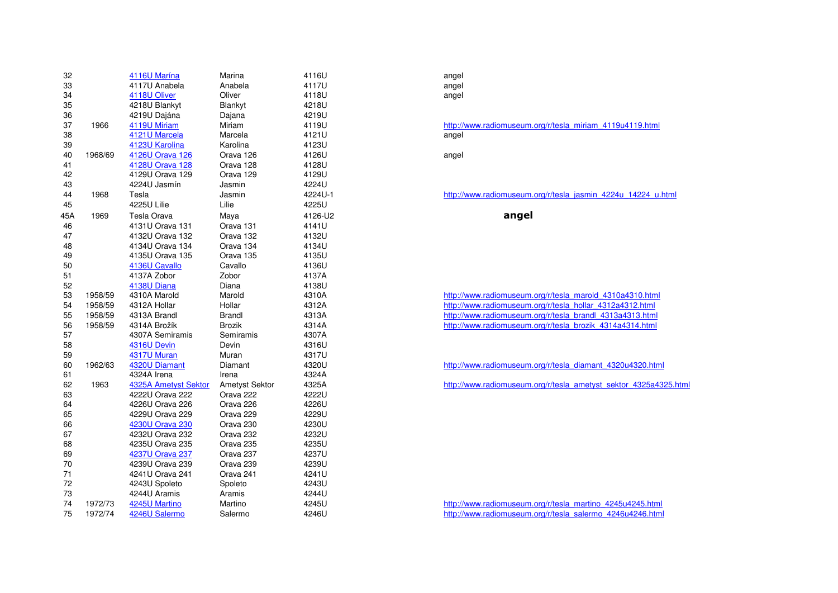| 32  |         | 4116U Marína         | Marina                | 4116U   | angel   |
|-----|---------|----------------------|-----------------------|---------|---------|
| 33  |         | 4117U Anabela        | Anabela               | 4117U   | angel   |
| 34  |         | 4118U Oliver         | Oliver                | 4118U   | angel   |
| 35  |         | 4218U Blankyt        | Blankyt               | 4218U   |         |
| 36  |         | 4219U Dajána         | Dajana                | 4219U   |         |
| 37  | 1966    | 4119U Miriam         | Miriam                | 4119U   | http:// |
| 38  |         | 4121U Marcela        | Marcela               | 4121U   | angel   |
| 39  |         | 4123U Karolina       | Karolina              | 4123U   |         |
| 40  | 1968/69 | 4126U Orava 126      | Orava 126             | 4126U   | angel   |
| 41  |         | 4128U Orava 128      | Orava 128             | 4128U   |         |
| 42  |         | 4129U Orava 129      | Orava 129             | 4129U   |         |
| 43  |         | 4224U Jasmín         | Jasmin                | 4224U   |         |
| 44  | 1968    | Tesla                | Jasmin                | 4224U-1 | http:// |
| 45  |         | 4225U Lilie          | Lilie                 | 4225U   |         |
| 45A | 1969    | Tesla Orava          | Maya                  | 4126-U2 |         |
| 46  |         | 4131U Orava 131      | Orava 131             | 4141U   |         |
| 47  |         | 4132U Orava 132      | Orava 132             | 4132U   |         |
| 48  |         | 4134U Orava 134      | Orava 134             | 4134U   |         |
| 49  |         | 4135U Orava 135      | Orava 135             | 4135U   |         |
| 50  |         | 4136U Cavallo        | Cavallo               | 4136U   |         |
| 51  |         | 4137A Zobor          | Zobor                 | 4137A   |         |
| 52  |         | 4138U Diana          | Diana                 | 4138U   |         |
| 53  | 1958/59 | 4310A Marold         | Marold                | 4310A   | http:/  |
| 54  | 1958/59 | 4312A Hollar         | Hollar                | 4312A   | http:// |
| 55  | 1958/59 | 4313A Brandl         | Brandl                | 4313A   | http:// |
| 56  | 1958/59 | 4314A Brožík         | <b>Brozik</b>         | 4314A   | http:// |
| 57  |         | 4307A Semiramis      | Semiramis             | 4307A   |         |
| 58  |         | 4316U Devin          | Devin                 | 4316U   |         |
| 59  |         | 4317U Muran          | Muran                 | 4317U   |         |
| 60  | 1962/63 | 4320U Diamant        | Diamant               | 4320U   | http:// |
| 61  |         | 4324A Irena          | Irena                 | 4324A   |         |
| 62  | 1963    | 4325A Ametyst Sektor | <b>Ametyst Sektor</b> | 4325A   | http:// |
| 63  |         | 4222U Orava 222      | Orava 222             | 4222U   |         |
| 64  |         | 4226U Orava 226      | Orava 226             | 4226U   |         |
| 65  |         | 4229U Orava 229      | Orava 229             | 4229U   |         |
| 66  |         | 4230U Orava 230      | Orava 230             | 4230U   |         |
| 67  |         | 4232U Orava 232      | Orava 232             | 4232U   |         |
| 68  |         | 4235U Orava 235      | Orava 235             | 4235U   |         |
| 69  |         | 4237U Orava 237      | Orava 237             | 4237U   |         |
| 70  |         | 4239U Orava 239      | Orava 239             | 4239U   |         |
| 71  |         | 4241U Orava 241      | Orava 241             | 4241U   |         |
| 72  |         | 4243U Spoleto        | Spoleto               | 4243U   |         |
| 73  |         | 4244U Aramis         | Aramis                | 4244U   |         |
| 74  | 1972/73 | 4245U Martino        | Martino               | 4245U   | http:// |
| 75  | 1972/74 | 4246U Salermo        | Salermo               | 4246U   | http:// |

# http://www.radiomuseum.org/r/tesla\_miriam\_4119u4119.html<br>angel

http://www.radiomuseum.org/r/tesla\_jasmin\_4224u\_14224\_u.html

angel

 http://www.radiomuseum.org/r/tesla\_marold\_4310a4310.html A http://www.radiomuseum.org/r/tesla\_hollar\_4312a4312.html http://www.radiomuseum.org/r/tesla\_brandl\_4313a4313.html http://www.radiomuseum.org/r/tesla\_brozik\_4314a4314.html

http://www.radiomuseum.org/r/tesla\_diamant\_4320u4320.html

http://www.radiomuseum.org/r/tesla\_ametyst\_sektor\_4325a4325.html

 http://www.radiomuseum.org/r/tesla\_martino\_4245u4245.html http://www.radiomuseum.org/r/tesla\_salermo\_4246u4246.html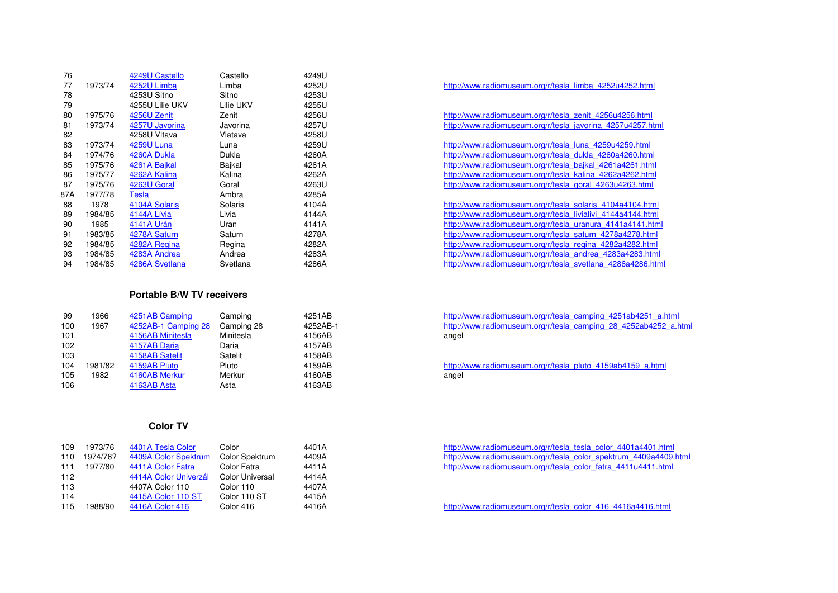| 76  |         | 4249U Castello    | Castello  | 4249U |
|-----|---------|-------------------|-----------|-------|
| 77  | 1973/74 | 4252U Limba       | Limba     | 4252U |
| 78  |         | 4253U Sitno       | Sitno     | 4253U |
| 79  |         | 4255U Lilie UKV   | Lilie UKV | 4255U |
| 80  | 1975/76 | 4256U Zenit       | Zenit     | 4256U |
| 81  | 1973/74 | 4257U Javorina    | Javorina  | 4257U |
| 82  |         | 4258U Vltava      | Vlatava   | 4258U |
| 83  | 1973/74 | <b>4259U Luna</b> | Luna      | 4259U |
| 84  | 1974/76 | 4260A Dukla       | Dukla     | 4260A |
| 85  | 1975/76 | 4261A Bajkal      | Bajkal    | 4261A |
| 86  | 1975/77 | 4262A Kalina      | Kalina    | 4262A |
| 87  | 1975/76 | 4263U Goral       | Goral     | 4263U |
| 87A | 1977/78 | Tesla             | Ambra     | 4285A |
| 88  | 1978    | 4104A Solaris     | Solaris   | 4104A |
| 89  | 1984/85 | 4144A Lívia       | Livia     | 4144A |
| 90  | 1985    | 4141A Urán        | Uran      | 4141A |
| 91  | 1983/85 | 4278A Saturn      | Saturn    | 4278A |
| 92  | 1984/85 | 4282A Regina      | Regina    | 4282A |
| 93  | 1984/85 | 4283A Andrea      | Andrea    | 4283A |
| 94  | 1984/85 | 4286A Svetlana    | Svetlana  | 4286A |

# **Portable B/W TV receivers**

| 99<br>100<br>101<br>102<br>103<br>104<br>105 | 1966<br>1967<br>1981/82<br>1982 | 4251AB Camping<br>4252AB-1 Camping 28<br>4156AB Minitesla<br>4157AB Daria<br>4158AB Satelit<br>4159AB Pluto<br>4160AB Merkur | Camping<br>Camping 28<br>Minitesla<br>Daria<br>Satelit<br>Pluto<br>Merkur | 4251AB<br>4252AB-1<br>4156AB<br>4157AB<br>4158AB<br>4159AB<br>4160AB | http://<br>http://<br>angel<br>http://<br>angel |
|----------------------------------------------|---------------------------------|------------------------------------------------------------------------------------------------------------------------------|---------------------------------------------------------------------------|----------------------------------------------------------------------|-------------------------------------------------|
| 106                                          |                                 | 4163AB Asta                                                                                                                  | Asta                                                                      | 4163AB                                                               |                                                 |

## **Color TV**

| 109 | 1973/76  | 4401A Tesla Color     | Color                  | 4401A |
|-----|----------|-----------------------|------------------------|-------|
| 110 | 1974/76? | 4409A Color Spektrum  | Color Spektrum         | 4409A |
| 111 | 1977/80  | 4411A Color Fatra     | Color Fatra            | 4411A |
| 112 |          | 4414A Color Univerzál | <b>Color Universal</b> | 4414A |
| 113 |          | 4407A Color 110       | Color 110              | 4407A |
| 114 |          | 4415A Color 110 ST    | Color 110 ST           | 4415A |
| 115 | 1988/90  | 4416A Color 416       | Color 416              | 4416A |
|     |          |                       |                        |       |

| U | http://www.radiomuseum.org/r/tesla limba 4252u4252.html     |  |
|---|-------------------------------------------------------------|--|
| U |                                                             |  |
| U |                                                             |  |
| U | http://www.radiomuseum.org/r/tesla_zenit_4256u4256.html     |  |
| U | http://www.radiomuseum.org/r/tesla javorina 4257u4257.html  |  |
| U |                                                             |  |
| U | http://www.radiomuseum.org/r/tesla luna 4259u4259.html      |  |
| Α | http://www.radiomuseum.org/r/tesla_dukla_4260a4260.html     |  |
| Α | http://www.radiomuseum.org/r/tesla bajkal 4261a4261.html    |  |
| А | http://www.radiomuseum.org/r/tesla kalina 4262a4262.html    |  |
| U | http://www.radiomuseum.org/r/tesla_goral_4263u4263.html     |  |
| А |                                                             |  |
| Α | http://www.radiomuseum.org/r/tesla solaris 4104a4104.html   |  |
| Α | http://www.radiomuseum.org/r/tesla livialivi 4144a4144.html |  |
| А | http://www.radiomuseum.org/r/tesla uranura 4141a4141.html   |  |
| Α | http://www.radiomuseum.org/r/tesla saturn 4278a4278.html    |  |
| А | http://www.radiomuseum.org/r/tesla regina 4282a4282.html    |  |
| Α | http://www.radiomuseum.org/r/tesla andrea 4283a4283.html    |  |
| А | http://www.radiomuseum.org/r/tesla svetlana 4286a4286.html  |  |

http://www.radiomuseum.org/r/tesla\_camping\_4251ab4251\_a.html http://www.radiomuseum.org/r/tesla\_camping 28 4252ab4252\_a.html<br>angel

http://www.radiomuseum.org/r/tesla\_pluto\_4159ab4159\_a.html<br>angel

 http://www.radiomuseum.org/r/tesla\_tesla\_color\_4401a4401.html man http://www.radiomuseum.org/r/tesla\_color\_spektrum\_4409a4409.html http://www.radiomuseum.org/r/tesla\_color\_fatra\_4411u4411.html

http://www.radiomuseum.org/r/tesla\_color\_416\_4416a4416.html